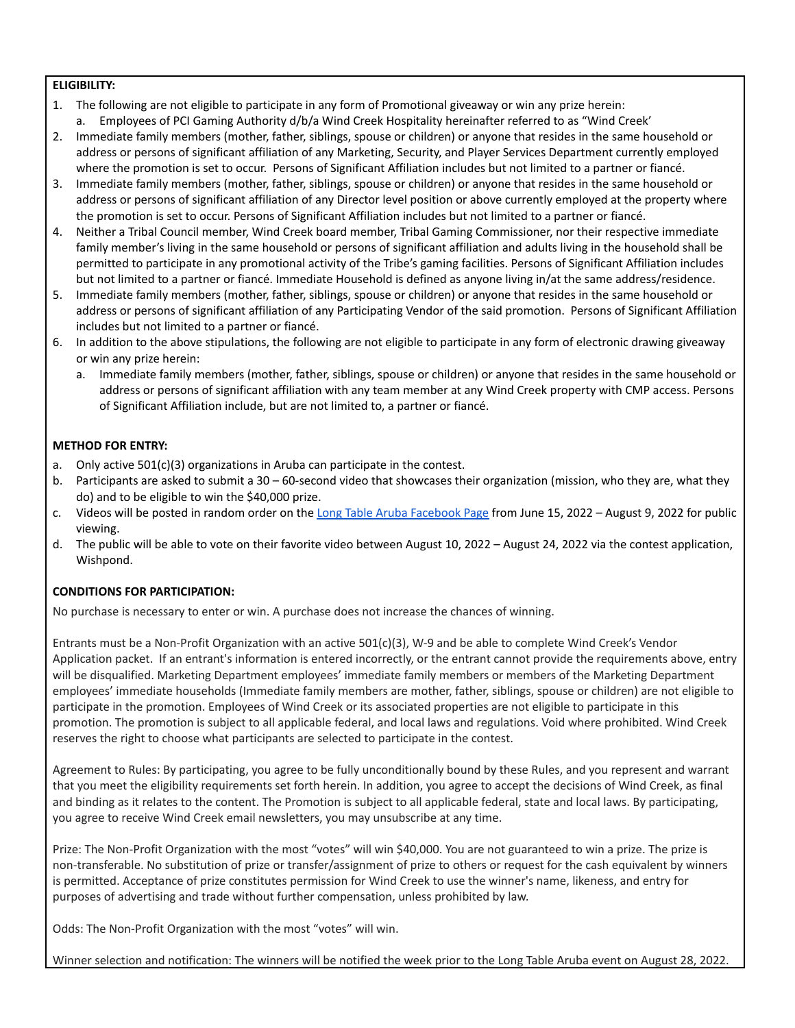## **ELIGIBILITY:**

- 1. The following are not eligible to participate in any form of Promotional giveaway or win any prize herein: a. Employees of PCI Gaming Authority d/b/a Wind Creek Hospitality hereinafter referred to as "Wind Creek'
- 2. Immediate family members (mother, father, siblings, spouse or children) or anyone that resides in the same household or address or persons of significant affiliation of any Marketing, Security, and Player Services Department currently employed where the promotion is set to occur. Persons of Significant Affiliation includes but not limited to a partner or fiancé.
- 3. Immediate family members (mother, father, siblings, spouse or children) or anyone that resides in the same household or address or persons of significant affiliation of any Director level position or above currently employed at the property where the promotion is set to occur. Persons of Significant Affiliation includes but not limited to a partner or fiancé.
- 4. Neither a Tribal Council member, Wind Creek board member, Tribal Gaming Commissioner, nor their respective immediate family member's living in the same household or persons of significant affiliation and adults living in the household shall be permitted to participate in any promotional activity of the Tribe's gaming facilities. Persons of Significant Affiliation includes but not limited to a partner or fiancé. Immediate Household is defined as anyone living in/at the same address/residence.
- 5. Immediate family members (mother, father, siblings, spouse or children) or anyone that resides in the same household or address or persons of significant affiliation of any Participating Vendor of the said promotion. Persons of Significant Affiliation includes but not limited to a partner or fiancé.
- 6. In addition to the above stipulations, the following are not eligible to participate in any form of electronic drawing giveaway or win any prize herein:
	- a. Immediate family members (mother, father, siblings, spouse or children) or anyone that resides in the same household or address or persons of significant affiliation with any team member at any Wind Creek property with CMP access. Persons of Significant Affiliation include, but are not limited to, a partner or fiancé.

## **METHOD FOR ENTRY:**

- a. Only active 501(c)(3) organizations in Aruba can participate in the contest.
- b. Participants are asked to submit a 30 60-second video that showcases their organization (mission, who they are, what they do) and to be eligible to win the \$40,000 prize.
- c. Videos will be posted in random order on the Long Table Aruba [Facebook](https://www.facebook.com/LongTableAruba/) Page from June 15, 2022 August 9, 2022 for public viewing.
- d. The public will be able to vote on their favorite video between August 10, 2022 August 24, 2022 via the contest application, Wishpond.

## **CONDITIONS FOR PARTICIPATION:**

No purchase is necessary to enter or win. A purchase does not increase the chances of winning.

Entrants must be a Non-Profit Organization with an active 501(c)(3), W-9 and be able to complete Wind Creek's Vendor Application packet. If an entrant's information is entered incorrectly, or the entrant cannot provide the requirements above, entry will be disqualified. Marketing Department employees' immediate family members or members of the Marketing Department employees' immediate households (Immediate family members are mother, father, siblings, spouse or children) are not eligible to participate in the promotion. Employees of Wind Creek or its associated properties are not eligible to participate in this promotion. The promotion is subject to all applicable federal, and local laws and regulations. Void where prohibited. Wind Creek reserves the right to choose what participants are selected to participate in the contest.

Agreement to Rules: By participating, you agree to be fully unconditionally bound by these Rules, and you represent and warrant that you meet the eligibility requirements set forth herein. In addition, you agree to accept the decisions of Wind Creek, as final and binding as it relates to the content. The Promotion is subject to all applicable federal, state and local laws. By participating, you agree to receive Wind Creek email newsletters, you may unsubscribe at any time.

Prize: The Non-Profit Organization with the most "votes" will win \$40,000. You are not guaranteed to win a prize. The prize is non-transferable. No substitution of prize or transfer/assignment of prize to others or request for the cash equivalent by winners is permitted. Acceptance of prize constitutes permission for Wind Creek to use the winner's name, likeness, and entry for purposes of advertising and trade without further compensation, unless prohibited by law.

Odds: The Non-Profit Organization with the most "votes" will win.

Winner selection and notification: The winners will be notified the week prior to the Long Table Aruba event on August 28, 2022.